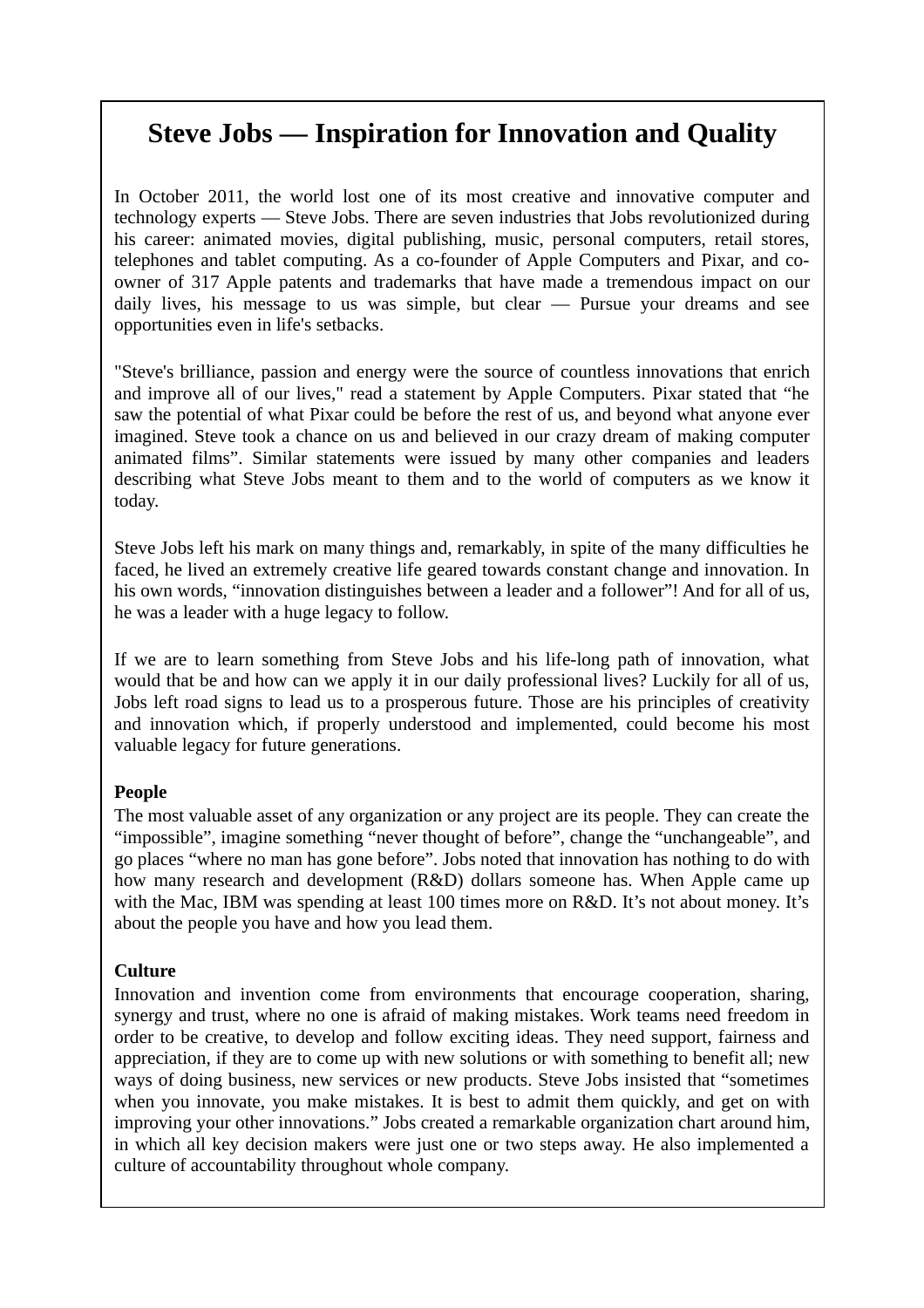# **Steve Jobs — Inspiration for Innovation and Quality**

In October 2011, the world lost one of its most creative and innovative computer and technology experts — Steve Jobs. There are seven industries that Jobs revolutionized during his career: animated movies, digital publishing, music, personal computers, retail stores, telephones and tablet computing. As a co-founder of Apple Computers and Pixar, and coowner of 317 Apple patents and trademarks that have made a tremendous impact on our daily lives, his message to us was simple, but clear — Pursue your dreams and see opportunities even in life's setbacks.

"Steve's brilliance, passion and energy were the source of countless innovations that enrich and improve all of our lives," read a statement by Apple Computers. Pixar stated that "he saw the potential of what Pixar could be before the rest of us, and beyond what anyone ever imagined. Steve took a chance on us and believed in our crazy dream of making computer animated films". Similar statements were issued by many other companies and leaders describing what Steve Jobs meant to them and to the world of computers as we know it today.

Steve Jobs left his mark on many things and, remarkably, in spite of the many difficulties he faced, he lived an extremely creative life geared towards constant change and innovation. In his own words, "innovation distinguishes between a leader and a follower"! And for all of us, he was a leader with a huge legacy to follow.

If we are to learn something from Steve Jobs and his life-long path of innovation, what would that be and how can we apply it in our daily professional lives? Luckily for all of us, Jobs left road signs to lead us to a prosperous future. Those are his principles of creativity and innovation which, if properly understood and implemented, could become his most valuable legacy for future generations.

## **People**

The most valuable asset of any organization or any project are its people. They can create the "impossible", imagine something "never thought of before", change the "unchangeable", and go places "where no man has gone before". Jobs noted that innovation has nothing to do with how many research and development (R&D) dollars someone has. When Apple came up with the Mac, IBM was spending at least 100 times more on R&D. It's not about money. It's about the people you have and how you lead them.

# **Culture**

Innovation and invention come from environments that encourage cooperation, sharing, synergy and trust, where no one is afraid of making mistakes. Work teams need freedom in order to be creative, to develop and follow exciting ideas. They need support, fairness and appreciation, if they are to come up with new solutions or with something to benefit all; new ways of doing business, new services or new products. Steve Jobs insisted that "sometimes when you innovate, you make mistakes. It is best to admit them quickly, and get on with improving your other innovations." Jobs created a remarkable organization chart around him, in which all key decision makers were just one or two steps away. He also implemented a culture of accountability throughout whole company.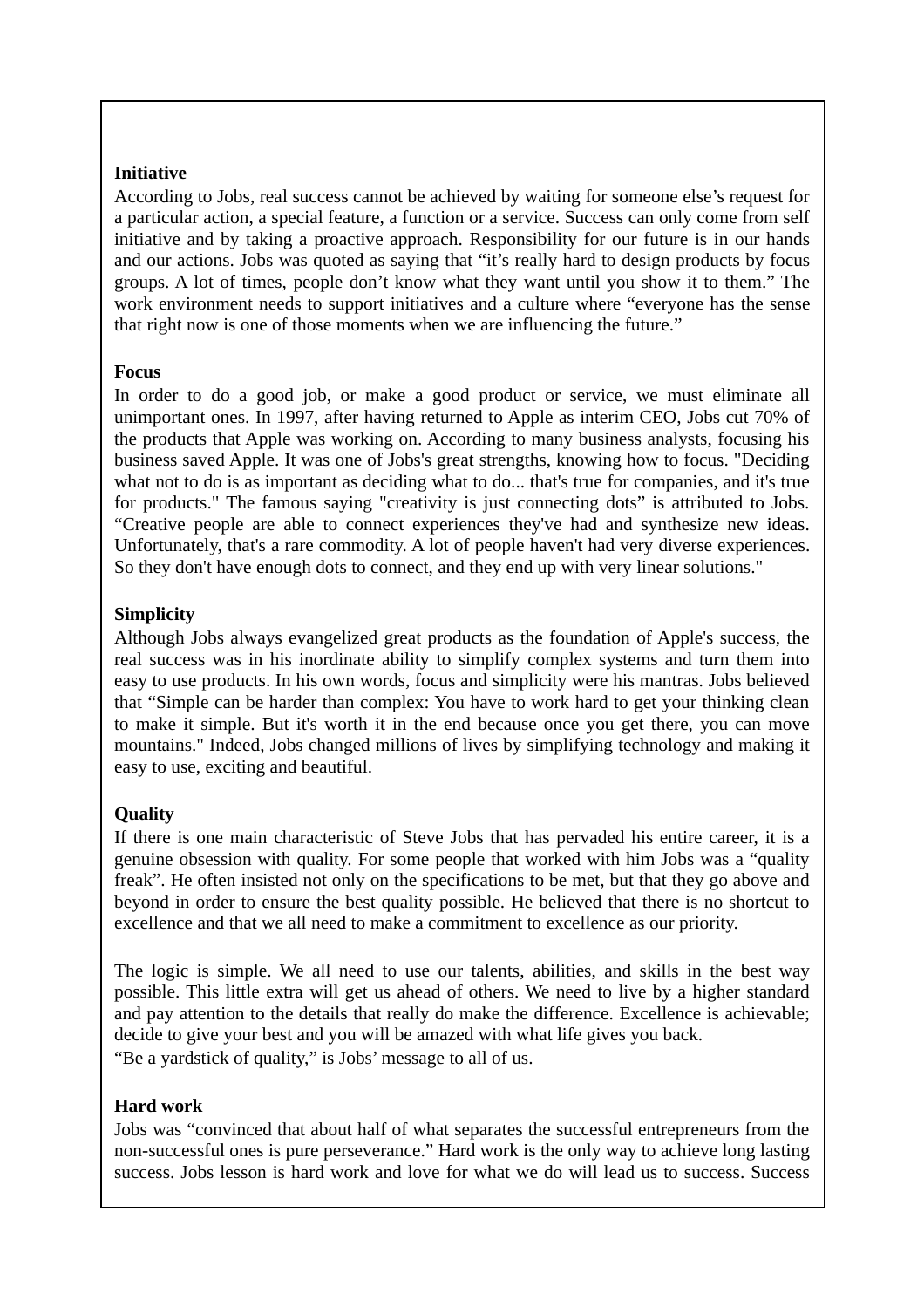#### **Initiative**

According to Jobs, real success cannot be achieved by waiting for someone else's request for a particular action, a special feature, a function or a service. Success can only come from self initiative and by taking a proactive approach. Responsibility for our future is in our hands and our actions. Jobs was quoted as saying that "it's really hard to design products by focus groups. A lot of times, people don't know what they want until you show it to them." The work environment needs to support initiatives and a culture where "everyone has the sense that right now is one of those moments when we are influencing the future."

#### **Focus**

In order to do a good job, or make a good product or service, we must eliminate all unimportant ones. In 1997, after having returned to Apple as interim CEO, Jobs cut 70% of the products that Apple was working on. According to many business analysts, focusing his business saved Apple. It was one of Jobs's great strengths, knowing how to focus. "Deciding what not to do is as important as deciding what to do... that's true for companies, and it's true for products." The famous saying "creativity is just connecting dots" is attributed to Jobs. "Creative people are able to connect experiences they've had and synthesize new ideas. Unfortunately, that's a rare commodity. A lot of people haven't had very diverse experiences. So they don't have enough dots to connect, and they end up with very linear solutions."

# **Simplicity**

Although Jobs always evangelized great products as the foundation of Apple's success, the real success was in his inordinate ability to simplify complex systems and turn them into easy to use products. In his own words, focus and simplicity were his mantras. Jobs believed that "Simple can be harder than complex: You have to work hard to get your thinking clean to make it simple. But it's worth it in the end because once you get there, you can move mountains." Indeed, Jobs changed millions of lives by simplifying technology and making it easy to use, exciting and beautiful.

## **Quality**

If there is one main characteristic of Steve Jobs that has pervaded his entire career, it is a genuine obsession with quality. For some people that worked with him Jobs was a "quality freak". He often insisted not only on the specifications to be met, but that they go above and beyond in order to ensure the best quality possible. He believed that there is no shortcut to excellence and that we all need to make a commitment to excellence as our priority.

The logic is simple. We all need to use our talents, abilities, and skills in the best way possible. This little extra will get us ahead of others. We need to live by a higher standard and pay attention to the details that really do make the difference. Excellence is achievable; decide to give your best and you will be amazed with what life gives you back. "Be a yardstick of quality," is Jobs' message to all of us.

## **Hard work**

Jobs was "convinced that about half of what separates the successful entrepreneurs from the non-successful ones is pure perseverance." Hard work is the only way to achieve long lasting success. Jobs lesson is hard work and love for what we do will lead us to success. Success